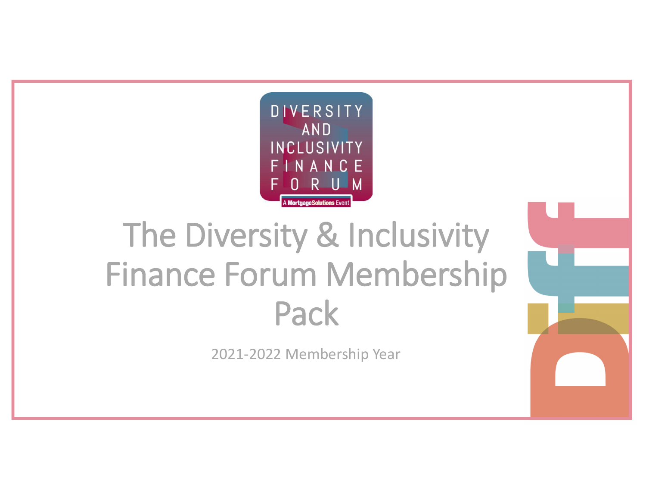

# The Diversity & Inclusivity Finance Forum Membership Pack

2021-2022 Membership Year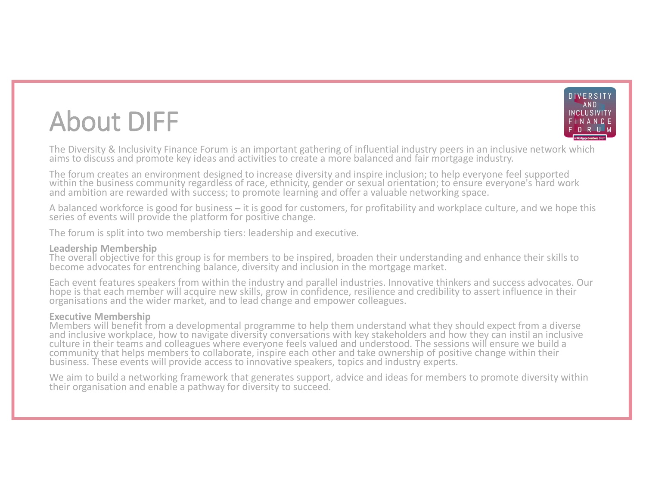### About DIFF



**About DIFF**<br> **EXECUTE:**<br>
The Diversity & Inclusivity Finance Forum is an important gathering of influential industry peers in an inclusive network which<br>
The Diversity & Inclusivity Finance Forum is an important gatherin The forum creates an environment designed to increase diversity and inspire inclusion; to help everyone feel supported within the business community regardless of race, ethnicity, gender or sexual orientation; to ensure ev

A balanced workforce is good for business – it is good for customers, for profitability and workplace culture, and we hope this<br>series of events will provide the platform for positive change.

The forum is split into two membership tiers: leadership and executive.

### Leadership Membership

The overall objective for this group is for members to be inspired, broaden their understanding and enhance their skills to<br>become advocates for entrenching balance, diversity and inclusion in the mortgage market.

**About DIFF**<br>
The Diversity & Inclusivity Finance Forum is an important gathering of influential industry peers in an inclusive network which<br>
The Diversity & Inclusivity Finance Forum is an important gathering of influent **ADOOUL DIFF**<br>
The Diversity & Inclusivity Finance Forum is an important gathering of influential industry peers in an inclusive network which<br>
The forum creates an environment designed to increase diversity and inspire in within the business community regardes of race, ethnicfly, gener or sexual orientation; to ensure everyones hard work<br>and ambition are rewarded with success, it is good for customers, for profitability and workplace cultur